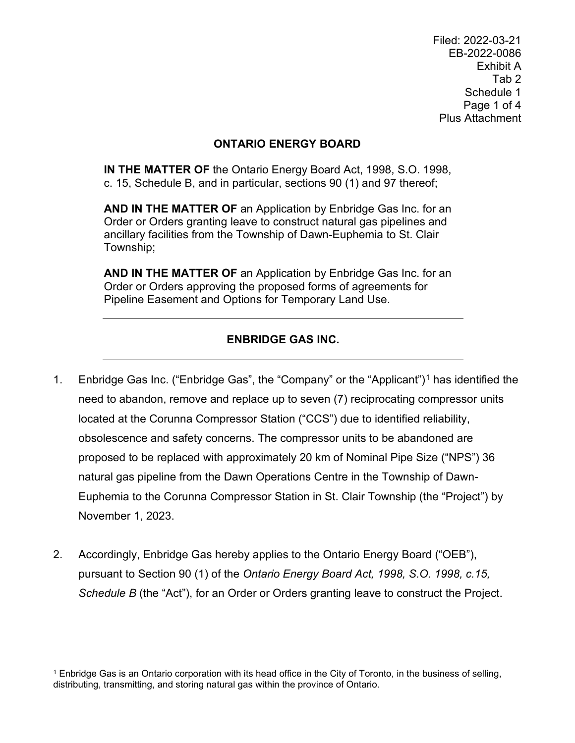Filed: 2022-03-21 EB-2022-0086 Exhibit A Tab 2 Schedule 1 Page 1 of 4 Plus Attachment

## **ONTARIO ENERGY BOARD**

**IN THE MATTER OF** the Ontario Energy Board Act, 1998, S.O. 1998, c. 15, Schedule B, and in particular, sections 90 (1) and 97 thereof;

**AND IN THE MATTER OF** an Application by Enbridge Gas Inc. for an Order or Orders granting leave to construct natural gas pipelines and ancillary facilities from the Township of Dawn-Euphemia to St. Clair Township;

**AND IN THE MATTER OF** an Application by Enbridge Gas Inc. for an Order or Orders approving the proposed forms of agreements for Pipeline Easement and Options for Temporary Land Use.

## **ENBRIDGE GAS INC.**

- [1](#page-0-0). Enbridge Gas Inc. ("Enbridge Gas", the "Company" or the "Applicant")<sup>1</sup> has identified the need to abandon, remove and replace up to seven (7) reciprocating compressor units located at the Corunna Compressor Station ("CCS") due to identified reliability, obsolescence and safety concerns. The compressor units to be abandoned are proposed to be replaced with approximately 20 km of Nominal Pipe Size ("NPS") 36 natural gas pipeline from the Dawn Operations Centre in the Township of Dawn-Euphemia to the Corunna Compressor Station in St. Clair Township (the "Project") by November 1, 2023.
- 2. Accordingly, Enbridge Gas hereby applies to the Ontario Energy Board ("OEB"), pursuant to Section 90 (1) of the *Ontario Energy Board Act, 1998, S.O. 1998, c.15, Schedule B* (the "Act"), for an Order or Orders granting leave to construct the Project.

<span id="page-0-0"></span><sup>&</sup>lt;sup>1</sup> Enbridge Gas is an Ontario corporation with its head office in the City of Toronto, in the business of selling, distributing, transmitting, and storing natural gas within the province of Ontario.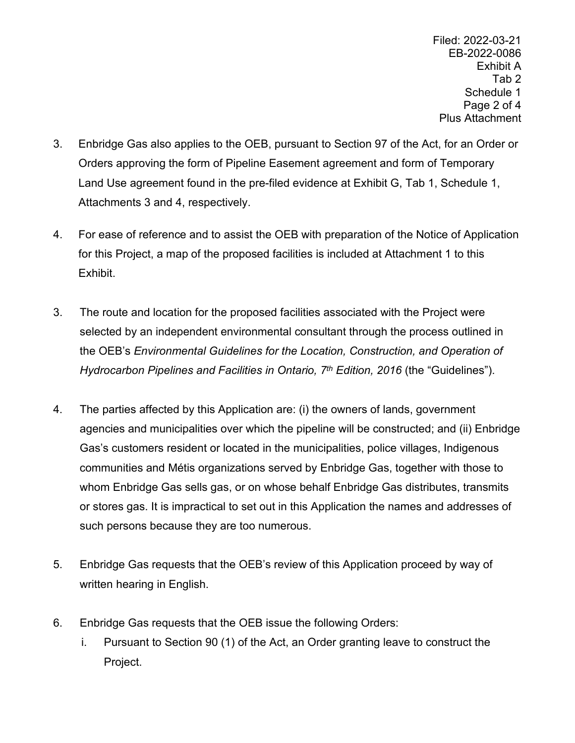Filed: 2022-03-21 EB-2022-0086 Exhibit A Tab 2 Schedule 1 Page 2 of 4 Plus Attachment

- 3. Enbridge Gas also applies to the OEB, pursuant to Section 97 of the Act, for an Order or Orders approving the form of Pipeline Easement agreement and form of Temporary Land Use agreement found in the pre-filed evidence at Exhibit G, Tab 1, Schedule 1, Attachments 3 and 4, respectively.
- 4. For ease of reference and to assist the OEB with preparation of the Notice of Application for this Project, a map of the proposed facilities is included at Attachment 1 to this Exhibit.
- 3. The route and location for the proposed facilities associated with the Project were selected by an independent environmental consultant through the process outlined in the OEB's *Environmental Guidelines for the Location, Construction, and Operation of Hydrocarbon Pipelines and Facilities in Ontario, 7th Edition, 2016* (the "Guidelines").
- 4. The parties affected by this Application are: (i) the owners of lands, government agencies and municipalities over which the pipeline will be constructed; and (ii) Enbridge Gas's customers resident or located in the municipalities, police villages, Indigenous communities and Métis organizations served by Enbridge Gas, together with those to whom Enbridge Gas sells gas, or on whose behalf Enbridge Gas distributes, transmits or stores gas. It is impractical to set out in this Application the names and addresses of such persons because they are too numerous.
- 5. Enbridge Gas requests that the OEB's review of this Application proceed by way of written hearing in English.
- 6. Enbridge Gas requests that the OEB issue the following Orders:
	- i. Pursuant to Section 90 (1) of the Act, an Order granting leave to construct the Project.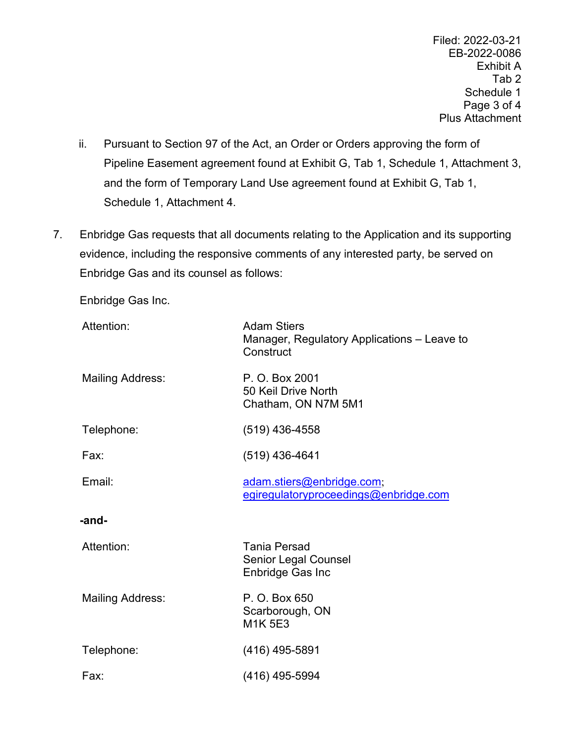Filed: 2022-03-21 EB-2022-0086 Exhibit A Tab 2 Schedule 1 Page 3 of 4 Plus Attachment

- ii. Pursuant to Section 97 of the Act, an Order or Orders approving the form of Pipeline Easement agreement found at Exhibit G, Tab 1, Schedule 1, Attachment 3, and the form of Temporary Land Use agreement found at Exhibit G, Tab 1, Schedule 1, Attachment 4.
- 7. Enbridge Gas requests that all documents relating to the Application and its supporting evidence, including the responsive comments of any interested party, be served on Enbridge Gas and its counsel as follows:

Enbridge Gas Inc.

| Attention:              | <b>Adam Stiers</b><br>Manager, Regulatory Applications – Leave to<br>Construct |
|-------------------------|--------------------------------------------------------------------------------|
| <b>Mailing Address:</b> | P. O. Box 2001<br>50 Keil Drive North<br>Chatham, ON N7M 5M1                   |
| Telephone:              | $(519)$ 436-4558                                                               |
| Fax:                    | $(519)$ 436-4641                                                               |
| Email:                  | adam.stiers@enbridge.com;<br>egiregulatoryproceedings@enbridge.com             |
| -and-                   |                                                                                |
| Attention:              | <b>Tania Persad</b><br><b>Senior Legal Counsel</b><br>Enbridge Gas Inc         |
| <b>Mailing Address:</b> | P. O. Box 650<br>Scarborough, ON<br><b>M1K 5E3</b>                             |
| Telephone:              | $(416)$ 495-5891                                                               |
| Fax:                    | (416) 495-5994                                                                 |